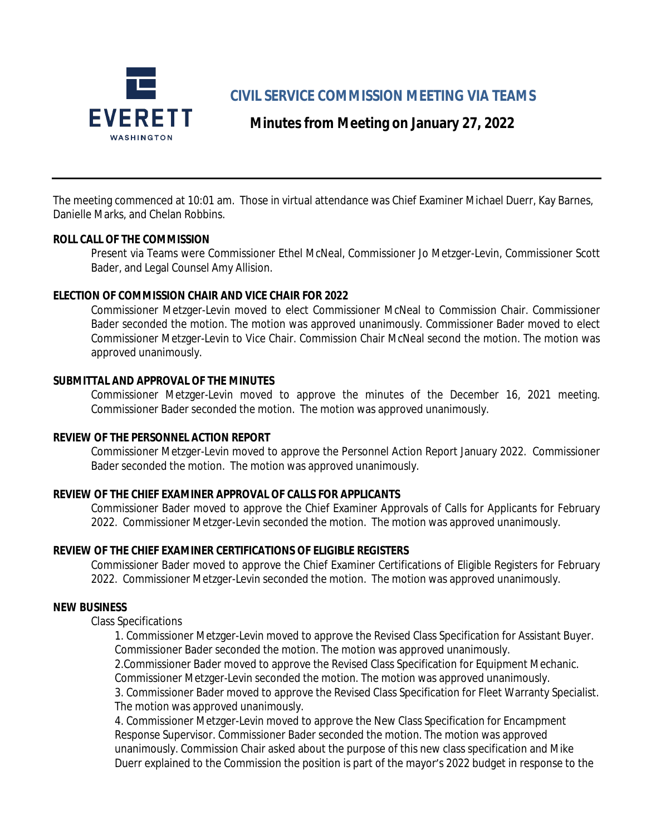

**CIVIL SERVICE COMMISSION MEETING VIA TEAMS**

# **Minutes from Meeting on January 27, 2022**

The meeting commenced at 10:01 am. Those in virtual attendance was Chief Examiner Michael Duerr, Kay Barnes, Danielle Marks, and Chelan Robbins.

### **ROLL CALL OF THE COMMISSION**

Present via Teams were Commissioner Ethel McNeal, Commissioner Jo Metzger-Levin, Commissioner Scott Bader, and Legal Counsel Amy Allision.

### **ELECTION OF COMMISSION CHAIR AND VICE CHAIR FOR 2022**

Commissioner Metzger-Levin moved to elect Commissioner McNeal to Commission Chair. Commissioner Bader seconded the motion. The motion was approved unanimously. Commissioner Bader moved to elect Commissioner Metzger-Levin to Vice Chair. Commission Chair McNeal second the motion. The motion was approved unanimously.

### **SUBMITTAL AND APPROVAL OF THE MINUTES**

Commissioner Metzger-Levin moved to approve the minutes of the December 16, 2021 meeting. Commissioner Bader seconded the motion. The motion was approved unanimously.

# **REVIEW OF THE PERSONNEL ACTION REPORT**

Commissioner Metzger-Levin moved to approve the Personnel Action Report January 2022. Commissioner Bader seconded the motion. The motion was approved unanimously.

# **REVIEW OF THE CHIEF EXAMINER APPROVAL OF CALLS FOR APPLICANTS**

Commissioner Bader moved to approve the Chief Examiner Approvals of Calls for Applicants for February 2022. Commissioner Metzger-Levin seconded the motion. The motion was approved unanimously.

# **REVIEW OF THE CHIEF EXAMINER CERTIFICATIONS OF ELIGIBLE REGISTERS**

Commissioner Bader moved to approve the Chief Examiner Certifications of Eligible Registers for February 2022. Commissioner Metzger-Levin seconded the motion. The motion was approved unanimously.

#### **NEW BUSINESS**

Class Specifications

1. Commissioner Metzger-Levin moved to approve the Revised Class Specification for Assistant Buyer. Commissioner Bader seconded the motion. The motion was approved unanimously. 2.Commissioner Bader moved to approve the Revised Class Specification for Equipment Mechanic. Commissioner Metzger-Levin seconded the motion. The motion was approved unanimously. 3. Commissioner Bader moved to approve the Revised Class Specification for Fleet Warranty Specialist. The motion was approved unanimously.

4. Commissioner Metzger-Levin moved to approve the New Class Specification for Encampment Response Supervisor. Commissioner Bader seconded the motion. The motion was approved unanimously. Commission Chair asked about the purpose of this new class specification and Mike Duerr explained to the Commission the position is part of the mayor's 2022 budget in response to the